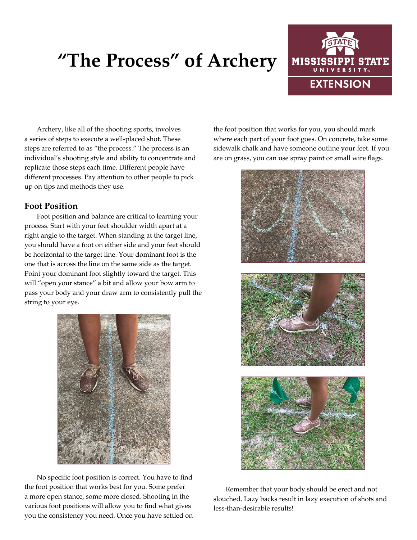# **"The Process" of Archery**



Archery, like all of the shooting sports, involves a series of steps to execute a well-placed shot. These steps are referred to as "the process." The process is an individual's shooting style and ability to concentrate and replicate those steps each time. Different people have different processes. Pay attention to other people to pick up on tips and methods they use.

## **Foot Position**

Foot position and balance are critical to learning your process. Start with your feet shoulder width apart at a right angle to the target. When standing at the target line, you should have a foot on either side and your feet should be horizontal to the target line. Your dominant foot is the one that is across the line on the same side as the target. Point your dominant foot slightly toward the target. This will "open your stance" a bit and allow your bow arm to pass your body and your draw arm to consistently pull the string to your eye.



No specific foot position is correct. You have to find the foot position that works best for you. Some prefer a more open stance, some more closed. Shooting in the various foot positions will allow you to find what gives you the consistency you need. Once you have settled on

the foot position that works for you, you should mark where each part of your foot goes. On concrete, take some sidewalk chalk and have someone outline your feet. If you are on grass, you can use spray paint or small wire flags.







Remember that your body should be erect and not slouched. Lazy backs result in lazy execution of shots and less-than-desirable results!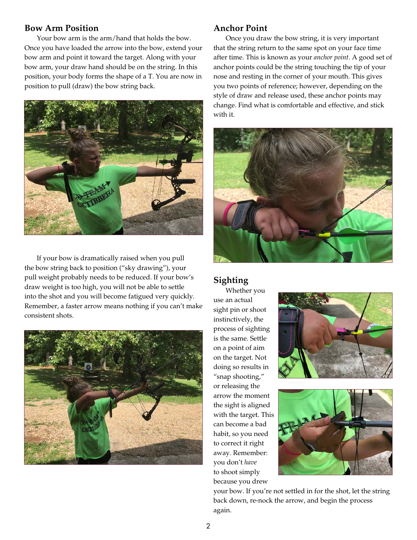### **Bow Arm Position**

Your bow arm is the arm/hand that holds the bow. Once you have loaded the arrow into the bow, extend your bow arm and point it toward the target. Along with your bow arm, your draw hand should be on the string. In this position, your body forms the shape of a T. You are now in position to pull (draw) the bow string back.



If your bow is dramatically raised when you pull the bow string back to position ("sky drawing"), your pull weight probably needs to be reduced. If your bow's draw weight is too high, you will not be able to settle into the shot and you will become fatigued very quickly. Remember, a faster arrow means nothing if you can't make consistent shots.



### **Anchor Point**

Once you draw the bow string, it is very important that the string return to the same spot on your face time after time. This is known as your *anchor point*. A good set of anchor points could be the string touching the tip of your nose and resting in the corner of your mouth. This gives you two points of reference; however, depending on the style of draw and release used, these anchor points may change. Find what is comfortable and effective, and stick with it.



# **Sighting**

Whether you use an actual sight pin or shoot instinctively, the process of sighting is the same. Settle on a point of aim on the target. Not doing so results in "snap shooting," or releasing the arrow the moment the sight is aligned with the target. This can become a bad habit, so you need to correct it right away. Remember: you don't *have* to shoot simply because you drew





your bow. If you're not settled in for the shot, let the string back down, re-nock the arrow, and begin the process again.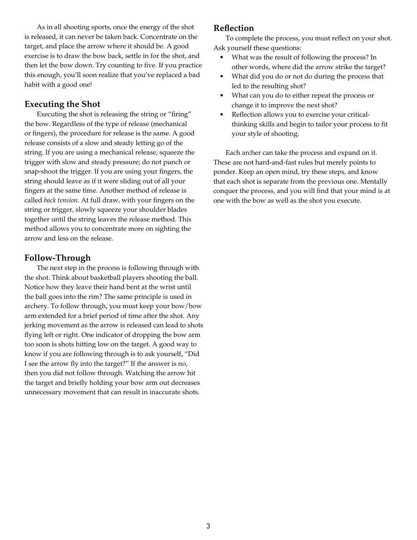As in all shooting sports, once the energy of the shot is released, it can never be taken back. Concentrate on the target, and place the arrow where it should be. A good exercise is to draw the bow back, settle in for the shot, and then let the bow down. Try counting to five. If you practice this enough, you'll soon realize that you've replaced a bad habit with a good one!

# **Executing the Shot**

Executing the shot is releasing the string or "firing" the bow. Regardless of the type of release (mechanical or fingers), the procedure for release is the same. A good release consists of a slow and steady letting go of the string. If you are using a mechanical release, squeeze the trigger with slow and steady pressure; do not punch or snap-shoot the trigger. If you are using your fingers, the string should leave as if it were sliding out of all your fingers at the same time. Another method of release is called *back tension*. At full draw, with your fingers on the string or trigger, slowly squeeze your shoulder blades together until the string leaves the release method. This method allows you to concentrate more on sighting the arrow and less on the release.

# **Follow-Through**

The next step in the process is following through with the shot. Think about basketball players shooting the ball. Notice how they leave their hand bent at the wrist until the ball goes into the rim? The same principle is used in archery. To follow through, you must keep your bow/bow arm extended for a brief period of time after the shot. Any jerking movement as the arrow is released can lead to shots flying left or right. One indicator of dropping the bow arm too soon is shots hitting low on the target. A good way to know if you are following through is to ask yourself, "Did I see the arrow fly into the target?" If the answer is no, then you did not follow through. Watching the arrow hit the target and briefly holding your bow arm out decreases unnecessary movement that can result in inaccurate shots.

## **Reflection**

To complete the process, you must reflect on your shot. Ask yourself these questions:

- What was the result of following the process? In other words, where did the arrow strike the target?
- What did you do or not do during the process that led to the resulting shot?
- What can you do to either repeat the process or change it to improve the next shot?
- Reflection allows you to exercise your criticalthinking skills and begin to tailor your process to fit your style of shooting.

Each archer can take the process and expand on it. These are not hard-and-fast rules but merely points to ponder. Keep an open mind, try these steps, and know that each shot is separate from the previous one. Mentally conquer the process, and you will find that your mind is at one with the bow as well as the shot you execute.